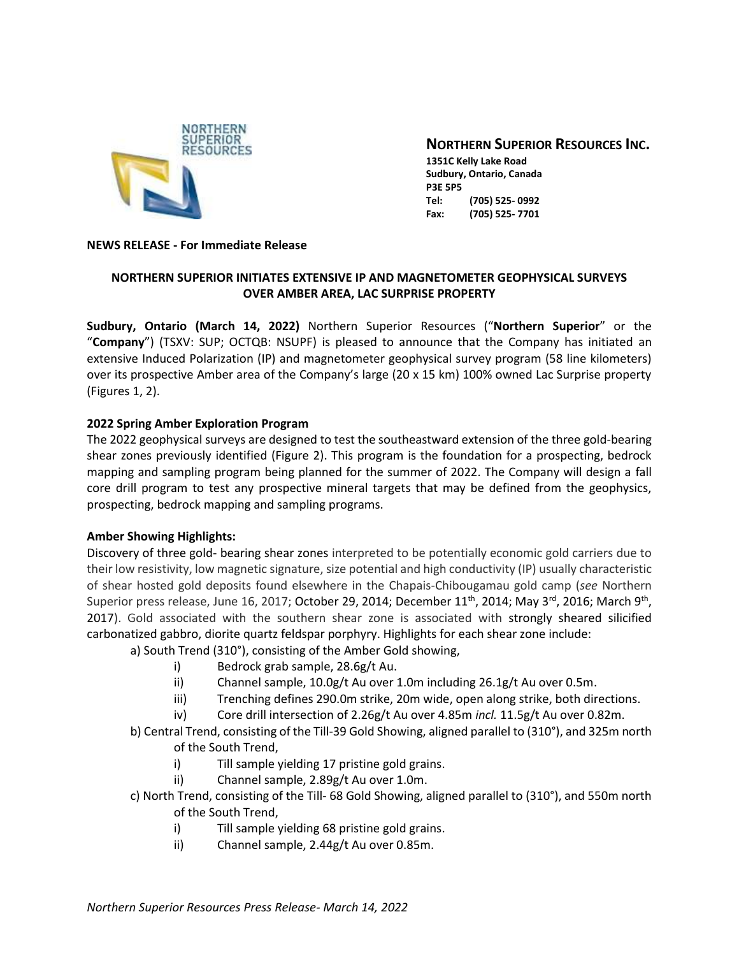

# **NORTHERN SUPERIOR RESOURCES INC.**

**1351C Kelly Lake Road Sudbury, Ontario, Canada P3E 5P5 Tel: (705) 525- 0992 Fax: (705) 525- 7701**

### **NEWS RELEASE - For Immediate Release**

## **NORTHERN SUPERIOR INITIATES EXTENSIVE IP AND MAGNETOMETER GEOPHYSICAL SURVEYS OVER AMBER AREA, LAC SURPRISE PROPERTY**

**Sudbury, Ontario (March 14, 2022)** Northern Superior Resources ("**Northern Superior**" or the "**Company**") (TSXV: SUP; OCTQB: NSUPF) is pleased to announce that the Company has initiated an extensive Induced Polarization (IP) and magnetometer geophysical survey program (58 line kilometers) over its prospective Amber area of the Company's large (20 x 15 km) 100% owned Lac Surprise property (Figures 1, 2).

## **2022 Spring Amber Exploration Program**

The 2022 geophysical surveys are designed to test the southeastward extension of the three gold-bearing shear zones previously identified (Figure 2). This program is the foundation for a prospecting, bedrock mapping and sampling program being planned for the summer of 2022. The Company will design a fall core drill program to test any prospective mineral targets that may be defined from the geophysics, prospecting, bedrock mapping and sampling programs.

## **Amber Showing Highlights:**

Discovery of three gold- bearing shear zones interpreted to be potentially economic gold carriers due to their low resistivity, low magnetic signature, size potential and high conductivity (IP) usually characteristic of shear hosted gold deposits found elsewhere in the Chapais-Chibougamau gold camp (*see* Northern Superior press release, June 16, 2017; October 29, 2014; December 11<sup>th</sup>, 2014; May 3<sup>rd</sup>, 2016; March 9<sup>th</sup>, 2017). Gold associated with the southern shear zone is associated with strongly sheared silicified carbonatized gabbro, diorite quartz feldspar porphyry. Highlights for each shear zone include:

a) South Trend (310°), consisting of the Amber Gold showing,

- i) Bedrock grab sample, 28.6g/t Au.
- ii) Channel sample, 10.0g/t Au over 1.0m including 26.1g/t Au over 0.5m.
- iii) Trenching defines 290.0m strike, 20m wide, open along strike, both directions.
- iv) Core drill intersection of 2.26g/t Au over 4.85m *incl.* 11.5g/t Au over 0.82m.
- b) Central Trend, consisting of the Till-39 Gold Showing, aligned parallel to (310°), and 325m north of the South Trend,
	- i) Till sample yielding 17 pristine gold grains.
	- ii) Channel sample, 2.89g/t Au over 1.0m.
- c) North Trend, consisting of the Till- 68 Gold Showing, aligned parallel to (310°), and 550m north of the South Trend,
	- i) Till sample yielding 68 pristine gold grains.
	- ii) Channel sample, 2.44g/t Au over 0.85m.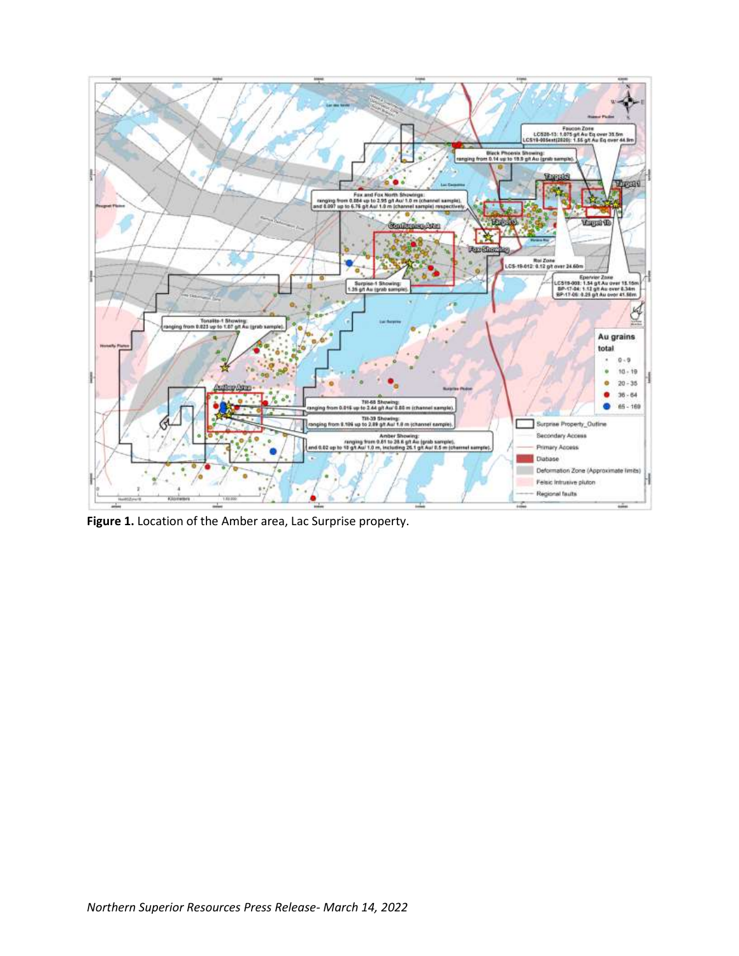

**Figure 1.** Location of the Amber area, Lac Surprise property.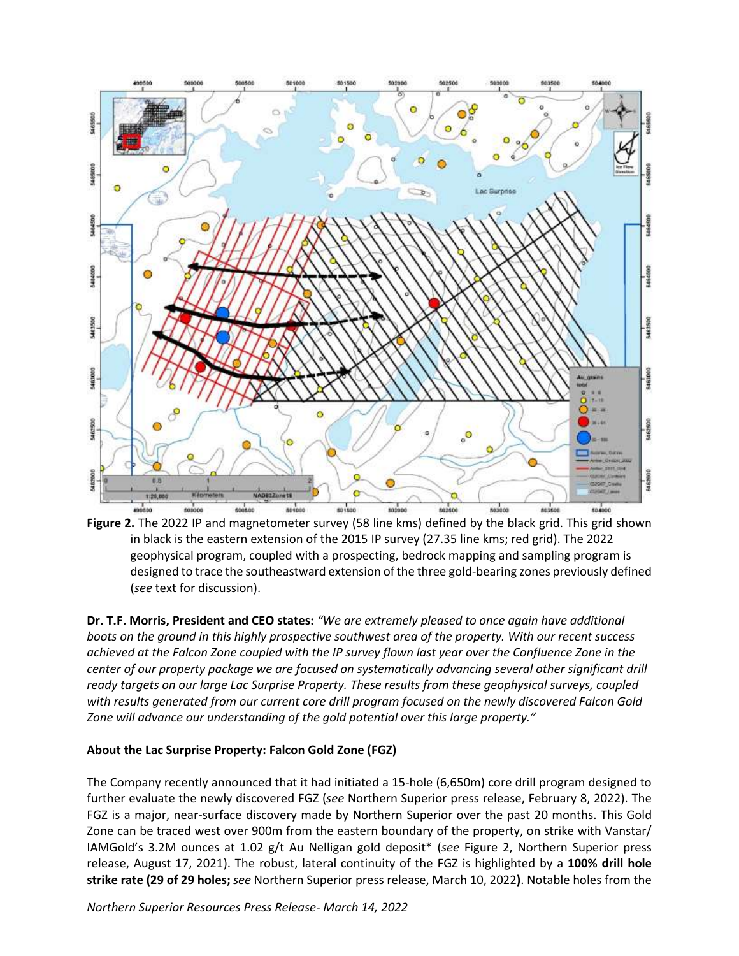

**Figure 2.** The 2022 IP and magnetometer survey (58 line kms) defined by the black grid. This grid shown in black is the eastern extension of the 2015 IP survey (27.35 line kms; red grid). The 2022 geophysical program, coupled with a prospecting, bedrock mapping and sampling program is designed to trace the southeastward extension of the three gold-bearing zones previously defined (*see* text for discussion).

**Dr. T.F. Morris, President and CEO states:** *"We are extremely pleased to once again have additional boots on the ground in this highly prospective southwest area of the property. With our recent success achieved at the Falcon Zone coupled with the IP survey flown last year over the Confluence Zone in the center of our property package we are focused on systematically advancing several other significant drill ready targets on our large Lac Surprise Property. These results from these geophysical surveys, coupled with results generated from our current core drill program focused on the newly discovered Falcon Gold Zone will advance our understanding of the gold potential over this large property."*

### **About the Lac Surprise Property: Falcon Gold Zone (FGZ)**

The Company recently announced that it had initiated a 15-hole (6,650m) core drill program designed to further evaluate the newly discovered FGZ (*see* Northern Superior press release, February 8, 2022). The FGZ is a major, near-surface discovery made by Northern Superior over the past 20 months. This Gold Zone can be traced west over 900m from the eastern boundary of the property, on strike with Vanstar/ IAMGold's 3.2M ounces at 1.02 g/t Au Nelligan gold deposit\* (*see* Figure 2, Northern Superior press release, August 17, 2021). The robust, lateral continuity of the FGZ is highlighted by a **100% drill hole strike rate (29 of 29 holes;** *see* Northern Superior press release, March 10, 2022**)**. Notable holes from the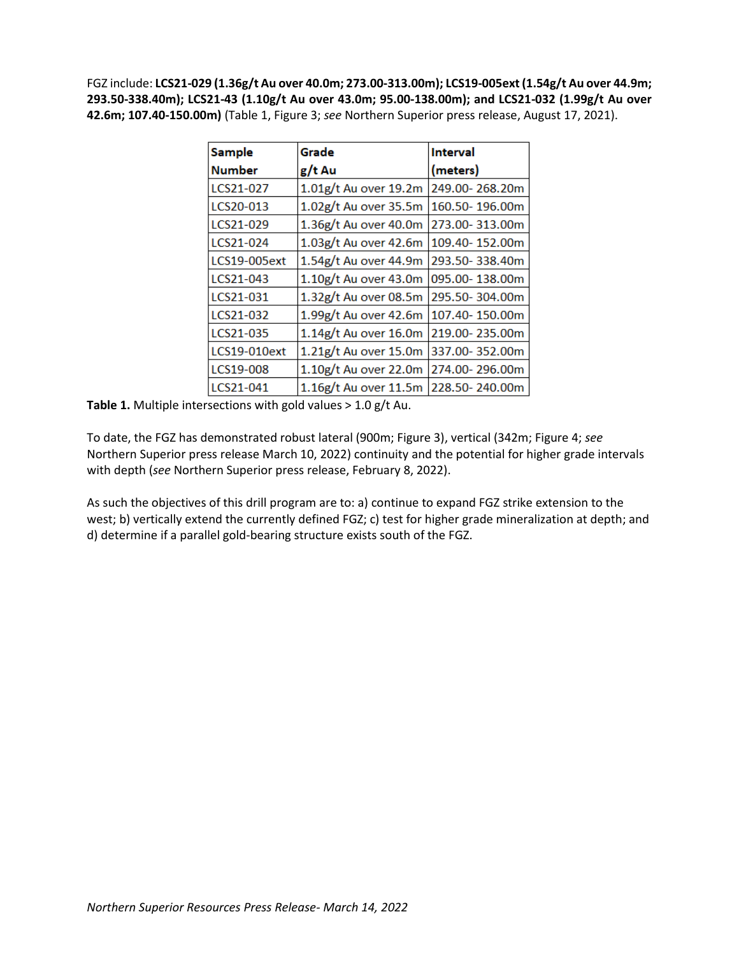FGZ include: **LCS21-029 (1.36g/t Au over 40.0m; 273.00-313.00m); LCS19-005ext (1.54g/t Au over 44.9m; 293.50-338.40m); LCS21-43 (1.10g/t Au over 43.0m; 95.00-138.00m); and LCS21-032 (1.99g/t Au over 42.6m; 107.40-150.00m)** (Table 1, Figure 3; *see* Northern Superior press release, August 17, 2021).

| <b>Sample</b> | Grade                   | <b>Interval</b> |
|---------------|-------------------------|-----------------|
| <b>Number</b> | g/t Au                  | (meters)        |
| LCS21-027     | 1.01g/t Au over 19.2m   | 249.00-268.20m  |
| LCS20-013     | 1.02g/t Au over 35.5m   | 160.50-196.00m  |
| LCS21-029     | 1.36g/t Au over 40.0m   | 273.00-313.00m  |
| LCS21-024     | 1.03g/t Au over 42.6m   | 109.40-152.00m  |
| LCS19-005ext  | 1.54g/t Au over 44.9m   | 293.50-338.40m  |
| LCS21-043     | $1.10g/t$ Au over 43.0m | 095.00-138.00m  |
| LCS21-031     | 1.32g/t Au over 08.5m   | 295.50-304.00m  |
| LCS21-032     | 1.99g/t Au over 42.6m   | 107.40-150.00m  |
| LCS21-035     | $1.14g/t$ Au over 16.0m | 219.00-235.00m  |
| LCS19-010ext  | $1.21g/t$ Au over 15.0m | 337.00-352.00m  |
| LCS19-008     | 1.10g/t Au over 22.0m   | 274.00-296.00m  |
| LCS21-041     | $1.16g/t$ Au over 11.5m | 228.50-240.00m  |

**Table 1.** Multiple intersections with gold values > 1.0 g/t Au.

To date, the FGZ has demonstrated robust lateral (900m; Figure 3), vertical (342m; Figure 4; *see* Northern Superior press release March 10, 2022) continuity and the potential for higher grade intervals with depth (*see* Northern Superior press release, February 8, 2022).

As such the objectives of this drill program are to: a) continue to expand FGZ strike extension to the west; b) vertically extend the currently defined FGZ; c) test for higher grade mineralization at depth; and d) determine if a parallel gold-bearing structure exists south of the FGZ.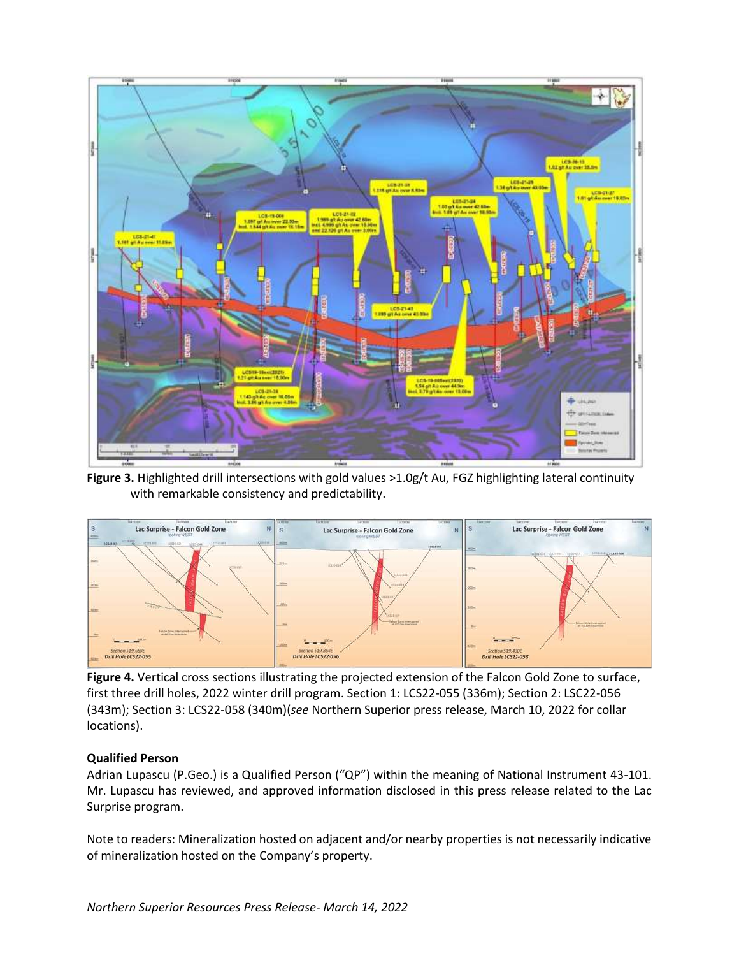

**Figure 3.** Highlighted drill intersections with gold values >1.0g/t Au, FGZ highlighting lateral continuity with remarkable consistency and predictability.



**Figure 4.** Vertical cross sections illustrating the projected extension of the Falcon Gold Zone to surface, first three drill holes, 2022 winter drill program. Section 1: LCS22-055 (336m); Section 2: LSC22-056 (343m); Section 3: LCS22-058 (340m)(*see* Northern Superior press release, March 10, 2022 for collar locations).

### **Qualified Person**

Adrian Lupascu (P.Geo.) is a Qualified Person ("QP") within the meaning of National Instrument 43-101. Mr. Lupascu has reviewed, and approved information disclosed in this press release related to the Lac Surprise program.

Note to readers: Mineralization hosted on adjacent and/or nearby properties is not necessarily indicative of mineralization hosted on the Company's property.